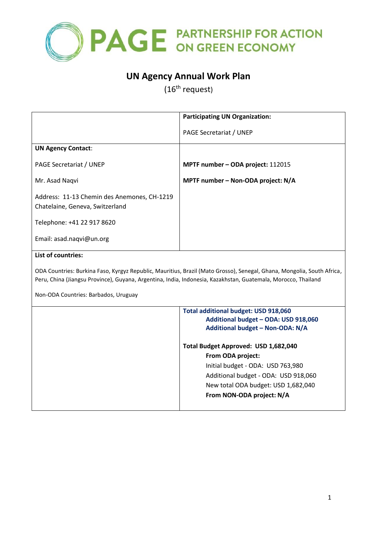

# **UN Agency Annual Work Plan**

(16<sup>th</sup> request)

| <b>Participating UN Organization:</b>                                                                                                                                                                                                                                           |  |  |  |  |
|---------------------------------------------------------------------------------------------------------------------------------------------------------------------------------------------------------------------------------------------------------------------------------|--|--|--|--|
| PAGE Secretariat / UNEP                                                                                                                                                                                                                                                         |  |  |  |  |
|                                                                                                                                                                                                                                                                                 |  |  |  |  |
| MPTF number - ODA project: 112015                                                                                                                                                                                                                                               |  |  |  |  |
| MPTF number - Non-ODA project: N/A                                                                                                                                                                                                                                              |  |  |  |  |
|                                                                                                                                                                                                                                                                                 |  |  |  |  |
|                                                                                                                                                                                                                                                                                 |  |  |  |  |
|                                                                                                                                                                                                                                                                                 |  |  |  |  |
|                                                                                                                                                                                                                                                                                 |  |  |  |  |
| ODA Countries: Burkina Faso, Kyrgyz Republic, Mauritius, Brazil (Mato Grosso), Senegal, Ghana, Mongolia, South Africa,<br>Peru, China (Jiangsu Province), Guyana, Argentina, India, Indonesia, Kazakhstan, Guatemala, Morocco, Thailand<br>Non-ODA Countries: Barbados, Uruguay |  |  |  |  |
| <b>Total additional budget: USD 918,060</b>                                                                                                                                                                                                                                     |  |  |  |  |
| Additional budget - ODA: USD 918,060<br>Additional budget - Non-ODA: N/A                                                                                                                                                                                                        |  |  |  |  |
|                                                                                                                                                                                                                                                                                 |  |  |  |  |
| Total Budget Approved: USD 1,682,040                                                                                                                                                                                                                                            |  |  |  |  |
| From ODA project:                                                                                                                                                                                                                                                               |  |  |  |  |
| Initial budget - ODA: USD 763,980<br>Additional budget - ODA: USD 918,060                                                                                                                                                                                                       |  |  |  |  |
| New total ODA budget: USD 1,682,040                                                                                                                                                                                                                                             |  |  |  |  |
|                                                                                                                                                                                                                                                                                 |  |  |  |  |

## **From NON-ODA project: N/A**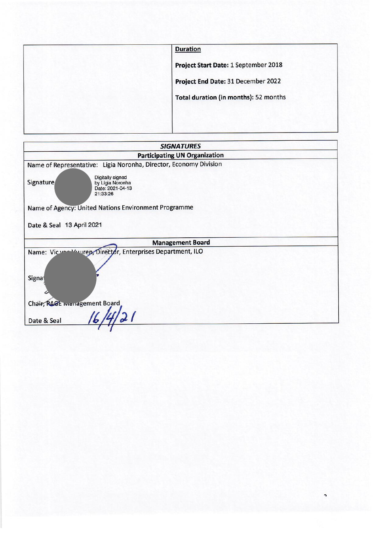| <b>Duration</b>                       |
|---------------------------------------|
| Project Start Date: 1 September 2018  |
| Project End Date: 31 December 2022    |
| Total duration (in months): 52 months |
|                                       |
|                                       |

| <b>SIGNATURES</b>                                                                 |  |  |  |  |
|-----------------------------------------------------------------------------------|--|--|--|--|
| <b>Participating UN Organization</b>                                              |  |  |  |  |
| Name of Representative: Ligia Noronha, Director, Economy Division                 |  |  |  |  |
| Digitally signed<br>Signature<br>by Ligia Noronha<br>Date: 2021-04-13<br>21:33:26 |  |  |  |  |
| Name of Agency: United Nations Environment Programme                              |  |  |  |  |
| Date & Seal 13 April 2021                                                         |  |  |  |  |
| <b>Management Board</b>                                                           |  |  |  |  |
| Name: Vic van Vouren, Director, Enterprises Department, ILO                       |  |  |  |  |
| Signat                                                                            |  |  |  |  |
| Chair, RAGE Ivianagement Board                                                    |  |  |  |  |
| Date & Seal                                                                       |  |  |  |  |

 $\overline{\phantom{0}}$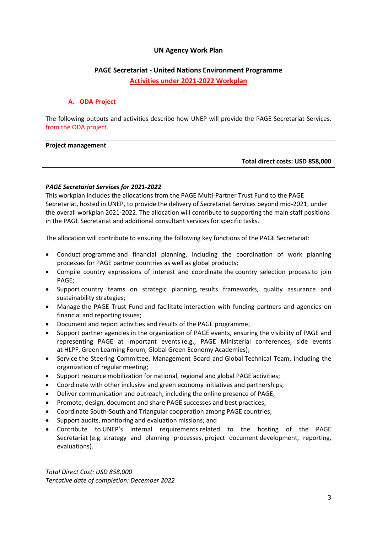## **UN Agency Work Plan**

#### **PAGE Secretariat - United Nations Environment Programme**

**Activities under 2021-2022 Workplan**

#### **A. ODA-Project**

The following outputs and activities describe how UNEP will provide the PAGE Secretariat Services. from the ODA project.

#### **Project management**

**Total direct costs: USD 858,000**

#### *PAGE Secretariat Services for 2021-2022*

This workplan includes the allocations from the PAGE Multi-Partner Trust Fund to the PAGE Secretariat, hosted in UNEP, to provide the delivery of Secretariat Services beyond mid-2021, under the overall workplan 2021-2022. The allocation will contribute to supporting the main staff positions in the PAGE Secretariat and additional consultant services for specific tasks.

The allocation will contribute to ensuring the following key functions of the PAGE Secretariat:

- Conduct programme and financial planning, including the coordination of work planning processes for PAGE partner countries as well as global products;
- Compile country expressions of interest and coordinate the country selection process to join PAGE;
- Support country teams on strategic planning, results frameworks, quality assurance and sustainability strategies;
- Manage the PAGE Trust Fund and facilitate interaction with funding partners and agencies on financial and reporting issues;
- Document and report activities and results of the PAGE programme;
- Support partner agencies in the organization of PAGE events, ensuring the visibility of PAGE and representing PAGE at important events (e.g., PAGE Ministerial conferences, side events at HLPF, Green Learning Forum, Global Green Economy Academies);
- Service the Steering Committee, Management Board and Global Technical Team, including the organization of regular meeting;
- Support resource mobilization for national, regional and global PAGE activities;
- Coordinate with other inclusive and green economy initiatives and partnerships;
- Deliver communication and outreach, including the online presence of PAGE;
- Promote, design, document and share PAGE successes and best practices;
- Coordinate South-South and Triangular cooperation among PAGE countries;
- Support audits, monitoring and evaluation missions; and
- Contribute to UNEP's internal requirements related to the hosting of the PAGE Secretariat (e.g. strategy and planning processes, project document development, reporting, evaluations).

*Total Direct Cost: USD 858,000 Tentative date of completion: December 2022*